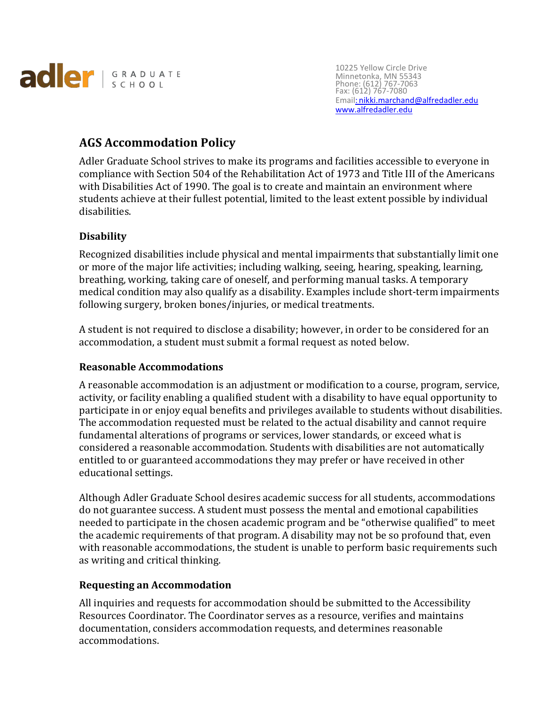

10225 Yellow Circle Drive Minnetonka, MN 55343 Phone: (612) 767-7063 Fax: (612) 767-7080 Email: [nikki.marchand@alfredadler.edu](mailto::%20nikki.marchand@alfredadler.edu) [www.alfredadler.edu](http://www.alfredadler.edu/)

# **AGS Accommodation Policy**

Adler Graduate School strives to make its programs and facilities accessible to everyone in compliance with Section 504 of the Rehabilitation Act of 1973 and Title III of the Americans with Disabilities Act of 1990. The goal is to create and maintain an environment where students achieve at their fullest potential, limited to the least extent possible by individual disabilities.

## **Disability**

Recognized disabilities include physical and mental impairments that substantially limit one or more of the major life activities; including walking, seeing, hearing, speaking, learning, breathing, working, taking care of oneself, and performing manual tasks. A temporary medical condition may also qualify as a disability. Examples include short-term impairments following surgery, broken bones/injuries, or medical treatments.

A student is not required to disclose a disability; however, in order to be considered for an accommodation, a student must submit a formal request as noted below.

## **Reasonable Accommodations**

A reasonable accommodation is an adjustment or modification to a course, program, service, activity, or facility enabling a qualified student with a disability to have equal opportunity to participate in or enjoy equal benefits and privileges available to students without disabilities. The accommodation requested must be related to the actual disability and cannot require fundamental alterations of programs or services, lower standards, or exceed what is considered a reasonable accommodation. Students with disabilities are not automatically entitled to or guaranteed accommodations they may prefer or have received in other educational settings.

Although Adler Graduate School desires academic success for all students, accommodations do not guarantee success. A student must possess the mental and emotional capabilities needed to participate in the chosen academic program and be "otherwise qualified" to meet the academic requirements of that program. A disability may not be so profound that, even with reasonable accommodations, the student is unable to perform basic requirements such as writing and critical thinking.

## **Requesting an Accommodation**

All inquiries and requests for accommodation should be submitted to the Accessibility Resources Coordinator. The Coordinator serves as a resource, verifies and maintains documentation, considers accommodation requests, and determines reasonable accommodations.